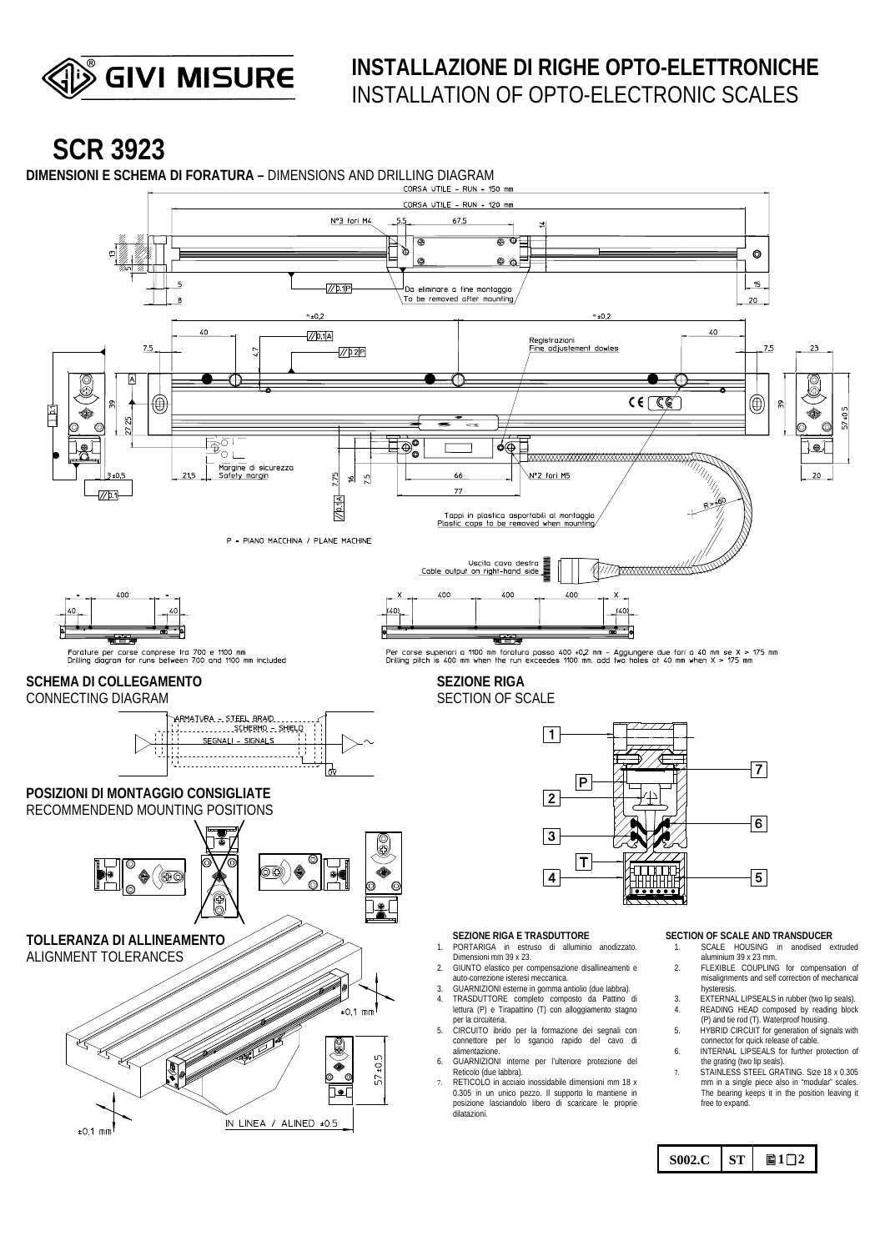

## **INSTALLAZIONE DI RIGHE OPTO-ELETTRONICHE**  INSTALLATION OF OPTO-ELECTRONIC SCALES

 $S002.C$   $ST$  **a**<sub>1</sub><sup>2</sup>

# **SCR 3923**